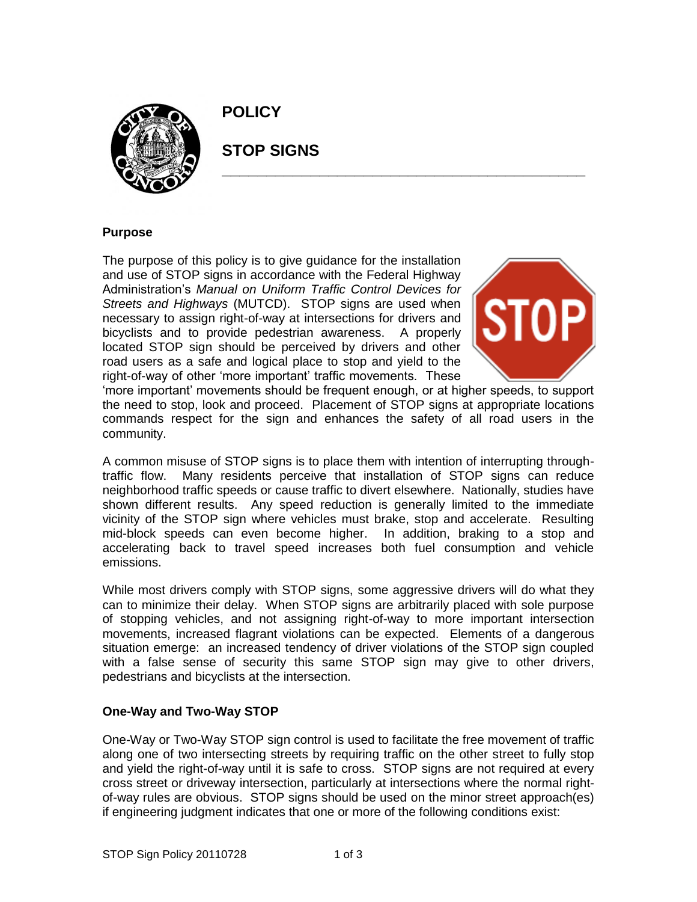

**POLICY**

# **STOP SIGNS**

## **Purpose**

The purpose of this policy is to give guidance for the installation and use of STOP signs in accordance with the Federal Highway Administration's *Manual on Uniform Traffic Control Devices for Streets and Highways* (MUTCD). STOP signs are used when necessary to assign right-of-way at intersections for drivers and bicyclists and to provide pedestrian awareness. A properly located STOP sign should be perceived by drivers and other road users as a safe and logical place to stop and yield to the right-of-way of other 'more important' traffic movements. These



'more important' movements should be frequent enough, or at higher speeds, to support the need to stop, look and proceed. Placement of STOP signs at appropriate locations commands respect for the sign and enhances the safety of all road users in the community.

**\_\_\_\_\_\_\_\_\_\_\_\_\_\_\_\_\_\_\_\_\_\_\_\_\_\_\_\_\_\_\_\_\_\_\_\_\_\_\_\_\_**

A common misuse of STOP signs is to place them with intention of interrupting throughtraffic flow. Many residents perceive that installation of STOP signs can reduce neighborhood traffic speeds or cause traffic to divert elsewhere. Nationally, studies have shown different results. Any speed reduction is generally limited to the immediate vicinity of the STOP sign where vehicles must brake, stop and accelerate. Resulting mid-block speeds can even become higher. In addition, braking to a stop and accelerating back to travel speed increases both fuel consumption and vehicle emissions.

While most drivers comply with STOP signs, some aggressive drivers will do what they can to minimize their delay. When STOP signs are arbitrarily placed with sole purpose of stopping vehicles, and not assigning right-of-way to more important intersection movements, increased flagrant violations can be expected. Elements of a dangerous situation emerge: an increased tendency of driver violations of the STOP sign coupled with a false sense of security this same STOP sign may give to other drivers, pedestrians and bicyclists at the intersection.

# **One-Way and Two-Way STOP**

One-Way or Two-Way STOP sign control is used to facilitate the free movement of traffic along one of two intersecting streets by requiring traffic on the other street to fully stop and yield the right-of-way until it is safe to cross. STOP signs are not required at every cross street or driveway intersection, particularly at intersections where the normal rightof-way rules are obvious. STOP signs should be used on the minor street approach(es) if engineering judgment indicates that one or more of the following conditions exist: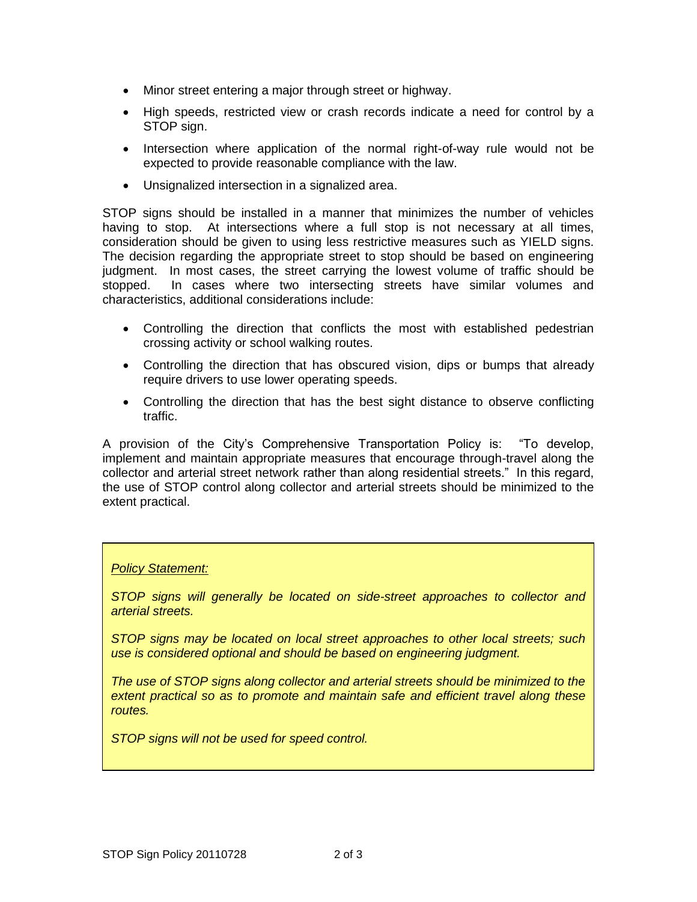- Minor street entering a major through street or highway.
- High speeds, restricted view or crash records indicate a need for control by a STOP sign.
- Intersection where application of the normal right-of-way rule would not be expected to provide reasonable compliance with the law.
- Unsignalized intersection in a signalized area.

STOP signs should be installed in a manner that minimizes the number of vehicles having to stop. At intersections where a full stop is not necessary at all times, consideration should be given to using less restrictive measures such as YIELD signs. The decision regarding the appropriate street to stop should be based on engineering judgment. In most cases, the street carrying the lowest volume of traffic should be stopped. In cases where two intersecting streets have similar volumes and characteristics, additional considerations include:

- Controlling the direction that conflicts the most with established pedestrian crossing activity or school walking routes.
- Controlling the direction that has obscured vision, dips or bumps that already require drivers to use lower operating speeds.
- Controlling the direction that has the best sight distance to observe conflicting traffic.

A provision of the City's Comprehensive Transportation Policy is: "To develop, implement and maintain appropriate measures that encourage through-travel along the collector and arterial street network rather than along residential streets." In this regard, the use of STOP control along collector and arterial streets should be minimized to the extent practical.

#### *Policy Statement:*

*STOP signs will generally be located on side-street approaches to collector and arterial streets.*

*STOP signs may be located on local street approaches to other local streets; such use is considered optional and should be based on engineering judgment.*

*The use of STOP signs along collector and arterial streets should be minimized to the extent practical so as to promote and maintain safe and efficient travel along these routes.*

*STOP signs will not be used for speed control.*